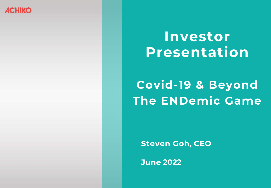## **ACHIKO**

# Investor Presentation **Investor Presentation**

# **The ENDemic Game Covid-19 & Beyond**

Steven Goh **Steven Goh, CEO**

June 2022 **June 2022**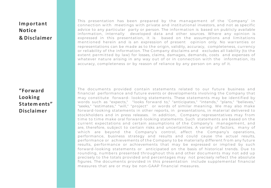## **Important Notice & Disclaimer**

This presentation has been prepared by the management of the 'Company' in connection with meetings with private and institutional investors, and not as specific advice to any particular party or person. The information is based on publicly available information, internally developed data and other sources. Where any opinion is expressed in this presentation, it is based on the assumptions and limitations mentioned herein and is an expression of present opinion only. No warranties or representations can be made as to the origin, validity, accuracy, completeness, currency or reliability of the information. The Company disclaims and excludes all liability (to the extent permitted by law) for losses, claims, damages, demands, costs and expenses of whatever nature arising in any way out of or in connection with the information, its accuracy, completeness or by reason of reliance by any person on any of it.

## **"Forward Looking Statem ents" Disclaimer**

The documents provided contain statements related to our future business and financial performance and future events or developments involving the Company that may constitute forward- looking statements. These statements may be identified by words such as "expects," "looks forward to," "anticipates," "intends," "plans," "believes," "seeks," "estimates," "will," "project" or words of similar meaning. We may also make forward-looking statements in other reports, in presentations, in material delivered to stockholders and in press releases. In addition, Company representatives may from time to time make oral forward-looking statements. Such statements are based on the current expectations and certain assumptions of the Company's management, and are, therefore, subject to certain risks and uncertainties. A variety of factors, many of which are beyond the Company's control, affect the Company's operations, performance, business strategy and results and could cause the actual results, performance or achievements of the Company to be materially different from any future results, performance or achievements that may be expressed or implied by such forward-looking statements or anticipated on the basis of historical trends. Due to rounding, numbers presented throughout this and other documents may not add up precisely to the totals provided and percentages may not precisely reflect the absolute figures. The documents provided in this presentation include supplemental financial measures that are or may be non-GAAP financial measures.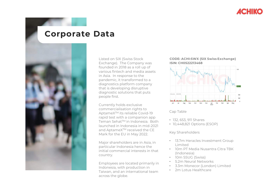

## **Corporate Data**



Listed on SIX (Swiss Stock Exchange). The Company was founded in 2018 as a roll up of various fintech and media assets in Asia. In response to the pandemic, it transformed to a diagnostics platform company that is developing disruptive diagnostic solutions that puts people first.

Currently holds exclusive commercialisation rights to AptameXTM its reliable Covid-19 rapid test with a companion app Teman Sehat™ in Indonesia. Both launched in Indonesia in mid-2021 and AptameX™ received the CE Mark for the EU in May 2022.

Major shareholders are in Asia, in particular Indonesia hence the initial commercial interests in that country.

Employees are located primarily in Indonesia, with production in Taiwan, and an international team across the globe.

#### **CODE: ACHI:SWX (SIX Swiss Exchange) ISIN: CH0522213468**



Cap Table

- 132, 653, 911 Shares
- 10,448,821 Options (ESOP)

#### Key Shareholders

- 13.7m Heracles Investment Group Limited
- 10m PT Media Nusantra Citra TBK (Indonesia)
- 10m SSUG (Swiss)
- 5.2m Neural Networks
- 3.3m Monecor (London) Limited
- 2m Lotus Healthcare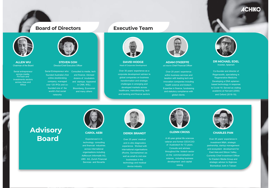**ACHIKO** 

### **Board of Directors Executive Team**



**ALLEN WU** Chairman of the Board

Serial entrepreneur across media, FinTech and investments sectors across Asia and Africa



**STEVEN GOH** Director/Chief Executive Officer

Serial Entrepreneur who Consulted to media, tech founded Australia's first online stockbroking company, managed over 120 IPOs and cofounded one of the world's first social and finance. Advised dozens of incubators and startups. Appeared in CNN, WSJ, Bloomberg, Economist and many others





Over 30 years' experience as a corporate development advisor to global companies on business transformation and strategic challenges in emerging and developed markets across healthcare, manufacturing, tech and banking and finance sectors



**ADAM O'KEEFFE** ad interim Chief Financial Officer

Over 20 years' experience within business services and taxation with leading tech and innovation companies including health science and biotech. Expertise in finance, fundraising and statutory compliance with global clients.



**DR MICHAEL EDEL** Inventor, AptameX

Co-founder and director of Regenacellx, specialising in Regenerative Medicine. Developing a DNA aptamerbased technology in response to Covid-19. Served as visiting academic at Harvard (2000) and Oxford (2018-19).

**Advisory Board**

networks



#### **CAROL AEBI**

Experienced in in technology consulting and financial industries across international organisations including AdNovum Informatik AG, UBS AG, Zurich Financial Services and Novartis



#### **DEREK BRANDT**

Over 25 years' medical and in-vitro diagnostics experience. Worked with international organisations (Roche, Gerresheimer) as well as small to mid size businesses in the technology and medical device industry



**GLENN CROSS**

A 40-year global life sciences veteran and former CEO/COO of Ausbiotech for 13 years. Consults and advises throughout the biotech sector on the commercialisation of science, including business development and capital



#### **CHARLES PAN**

Over 25 years' experience in investment M&A, strategic partnership, startup management and ecosystem development for East Asia and Silicon Valley. Currently Chief Investment Officer for Eastern Media Group and strategic advisor to Sigknow Biomedical, both in Taiwan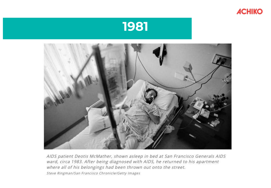





AIDS patient Deotis McMather, shown asleep in bed at San Francisco Generals AIDS ward, circa 1983. After being diagnosed with AIDS, he returned to his apartment where all of his belongings had been thrown out onto the street. Steve Ringman/San Francisco Chronicle/Getty Images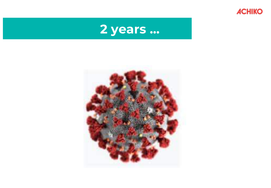

# **2 years ...**

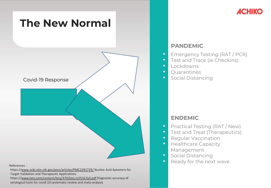

• https:/[/www.ncbi.nlm.nih.gov/pmc/articles/PMC2291729/ N](http://www.ncbi.nlm.nih.gov/pmc/articles/PMC2291729/)ucleic Acid Aptamers for Target Validation and Therapeutic Applications • https:/[/www.bmj.com/content/bmj/370/bmj.m2516.full.pdf](http://www.bmj.com/content/bmj/370/bmj.m2516.full.pdf) Diagnostic accuracy of serological tests for covid-19:systematic review and meta-analysis

## **PANDEMIC**

- Emergency Testing (RAT / PCR)
- Test and Trace (ie Checkins)
- Lockdowns
- Ouarantines
- Social Distancing

## **ENDEMIC**

- Practical Testing (RAT / New)
- Test and Treat (Therapeutics)
- **Regular Vaccination**
- Healthcare Capacity Management
- Social Distancing
- Ready for the next wave

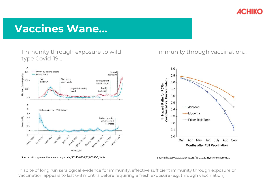

# **Vaccines Wane…**

Immunity through exposure to wild type Covid-19…



## Immunity through vaccination…



Source: https://www.thelancet.com/article/S0140-6736(21)00183-5/fulltext Source: https://www.science.org/doi/10.1126/science.abm0620

In spite of long run seralogical evidence for immunity, effective sufficient immunity through exposure or vaccination appears to last 6-8 months before requiring a fresh exposure (e.g. through vaccination).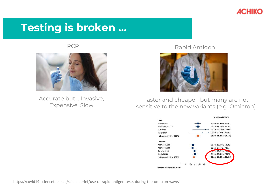

# **Testing is broken …**



Accurate but .. Invasive, Expensive, Slow

PCR Rapid Antigen



Faster and cheaper, but many are not sensitive to the new variants (e.g. Omicron)

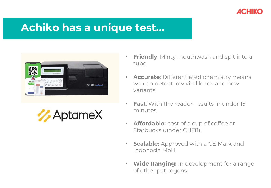

# **Achiko has a unique test…**





- **Friendly**: Minty mouthwash and spit into a tube.
- **Accurate**: Differentiated chemistry means we can detect low viral loads and new variants.
- **Fast**: With the reader, results in under 15 minutes.
- **Affordable:** cost of a cup of coffee at Starbucks (under CHF8).
- **Scalable:** Approved with a CE Mark and Indonesia MoH.
- **Wide Ranging:** In development for a range of other pathogens.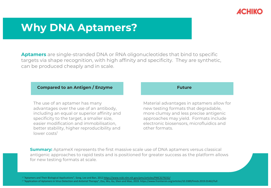

## **Why DNA Aptamers?**

Why DNA Aptamers?

**Aptamers** are single-stranded DNA or RNA oligonucleotides that bind to specific targets via shape recognition, with high affinity and specificity. They are synthetic, can be produced cheaply and in scale.

### **Compared to an Antigen / Enzyme**

The use of an aptamer has many advantages over the use of an antibody, including an equal or superior affinity and specificity to the target, a smaller size, easier modification and immobilisation, better stability, higher reproducibility and lower costs<sup>1</sup>

#### **Future**

Material advantages in aptamers allow for new testing formats that degradable, more clumsy and less precise antigenic approaches may yield. Formats include electronic biosensors, microfluidics and other formats.

**Summary:** AptameX represents the first massive scale use of DNA aptamers versus classical antigenic approaches to rapid tests and is positioned for greater success as the platform allows for new testing formats at scale.

<sup>1</sup> "Aptamers and Their Biological Applications", Song, Lee and Ban, 2012<https://www.ncbi.nlm.nih.gov/pmc/articles/PMC3279232/>

<sup>2</sup> "Application of Aptamers in Virus Detection and Antiviral Therapy", Zou, Wu, Gu, Shen and Mao, 2019. https://www.frontiersin.org/articles/10.3389/fmicb.2019.01462/full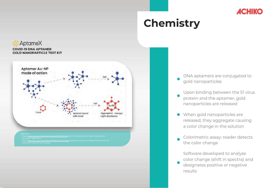

# **Chemistry**





/www.bmi.com/content/bmi/370/bmi.m2516.full.pdf Diagnostic accuracy of sero eview and meta-analysis

DNA aptamers are conjugated to gold nanoparticles

Upon binding between the S1 virus protein and the aptamer, gold nanoparticles are released

When gold nanoparticles are released, they aggregate causing a color change in the solution

Colorimetric assay: reader detects the color change

Software developed to analyse color change (shift in spectra) and designates positive or negative

results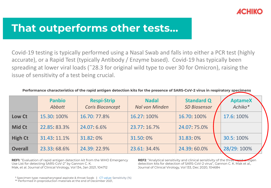

# **That outperforms other tests…**

Covid-19 testing is typically performed using a Nasal Swab and falls into either a PCR test (highly accurate), or a Rapid Test (typically Antibody / Enzyme based). Covid-19 has typically been spreading at lower viral loads (˜28.3 for original wild type to over 30 for Omicron), raising the issue of sensitivity of a test being crucial.

|                | <b>Panbio</b><br>Abbott | <b>Respi-Strip</b><br><b>Coris Bioconcept</b> | <b>Nadal</b><br><b>Nal von Minden</b> | <b>Standard Q</b><br><b>SD Biosensor</b> | <b>AptameX</b><br>Achiko* |
|----------------|-------------------------|-----------------------------------------------|---------------------------------------|------------------------------------------|---------------------------|
| Low Ct         | 15.30: 100%             | 16.70: 77.8%                                  | 16.27: 100%                           | 16.70: 100%                              | 17.6: 100%                |
| <b>Mid Ct</b>  | 22.85:83.3%             | 24.07.6.6%                                    | 23.77.16.7%                           | 24.07: 75.0%                             |                           |
| <b>High Ct</b> | 31.43: 11.1%            | 31.82.0%                                      | 31.50:0%                              | 31.83:0%                                 | 30.5: 100%                |
| <b>Overall</b> | 23.33.68.6%             | 24.39: 22.9%                                  | 23.61: 34.4%                          | 24.39:60.0%                              | 28/29:100%                |

**Performance characteristics of the rapid antigen detection kits for the presence of SARS-CoV-2 virus in respiratory specimens**

**REF1:** "Evaluation of rapid antigen detection kit from the WHO Emergency Use List for detecting SARS-CoV-2" by Gannon C. K. Mak, et al. Journal of Clinical Virology, Vol 134, Jan 2021, 104712

**REF2:** "Analytical sensitivity and clinical sensitivity of the three detection kits for detection of SARS-CoV-2 virus", Gannon C. K. Mak et al., Journal of Clinical Virology, Vol 133, Dec 2020, 104684

\* Specimen type: nasopharyngeal aspirate & throat Swab | CT value: Sensitivity (%)

\*\* Performed in preproduction materials at the end of December 2021,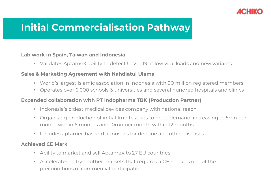

## **Initial Commercialisation Pathway**

### **Lab work in Spain, Taiwan and Indonesia**

• Validates AptameX ability to detect Covid-19 at low viral loads and new variants

### **Sales & Marketing Agreement with Nahdlatul Ulama**

- World's largest Islamic association in Indonesia with 90 million registered members
- Operates over 6,000 schools & universities and several hundred hospitals and clinics

### **Expanded collaboration with PT Indopharma TBK (Production Partner)**

- Indonesia's oldest medical devices company with national reach
- Organising production of initial 1mn test kits to meet demand, increasing to 5mn per month within 6 months and 10mn per month within 12 months
- Includes aptamer-based diagnostics for dengue and other diseases

### **Achieved CE Mark**

- Ability to market and sell AptameX to 27 EU countries
- Accelerates entry to other markets that requires a CE mark as one of the preconditions of commercial participation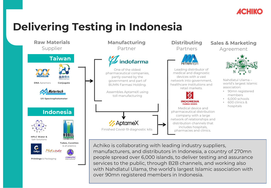

# **Delivering Testing in Indonesia**



services to the public, through B2B channels, and working also with Nahdlatul Ulama, the world's largest Islamic association with over 90mn registered members in Indonesia.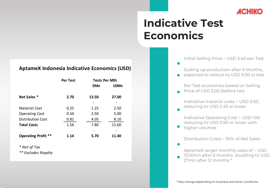

# **Indicative Test Economics**

### **AptameX Indonesia Indicative Economics (USD)**

|                            | Per Test | <b>Tests Per Mth</b> |       |
|----------------------------|----------|----------------------|-------|
|                            |          | 5Mn                  | 10Mn  |
| Net Sales *                | 2.70     | 13.50                | 27.00 |
| Material Cost              | 0.25     | 1.25                 | 2.50  |
| <b>Operating Cost</b>      | 0.50     | 2.50                 | 5.00  |
| <b>Distribution Cost</b>   | 0.81     | 4.05                 | 8.10  |
| <b>Total Costs</b>         | 1.56     | 7.80                 | 15.60 |
|                            |          |                      |       |
| <b>Operating Profit **</b> | 1.14     | 5.70                 | 11.40 |

*\* Net of Tax*

*\*\* Excludes Royalty*

Initial Selling Price ~ USD 3.40 per Test

Scaling up production after 6 Months, expected to reduce to USD 3.00 or less

Per Test economics based on Selling Price of USD 3.00 (before tax)

Indicative material costs ~ USD 0.50, reducing to USD 0.25 or lower

Indicative Operating Cost ~ USD 1.00 reducing to USD 0.50 or lower with

higher volumes

Distribution Costs ~ 30% of Net Sales

AptameX target monthly sales of ~ USD

13.50mn after 6 months doubling to USD 27mn after 12 months \*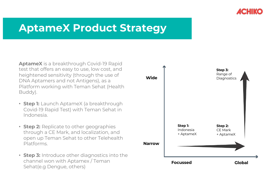

# **AptameX Product Strategy**

**AptameX** is a breakthrough Covid-19 Rapid test that offers an easy to use, low cost, and heightened sensitivity (through the use of DNA Aptamers and not Antigens), as a Platform working with Teman Sehat (Health Buddy).

- **Step 1:** Launch AptameX (a breakthrough Covid-19 Rapid Test) with Teman Sehat in Indonesia.
- **Step 2:** Replicate to other geographies through a CE Mark, and localization, and open up Teman Sehat to other Telehealth Platforms.
- **Step 3:** Introduce other diagnostics into the channel won with Aptamex / Teman Sehat(e.g Dengue, others)

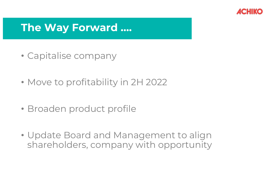

# **The Way Forward ….**

- Capitalise company
- Move to profitability in 2H 2022
- Broaden product profile
- Update Board and Management to align shareholders, company with opportunity